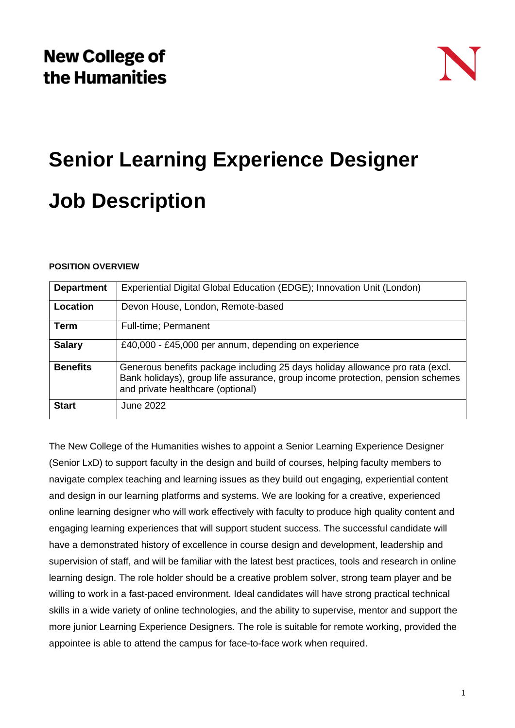

# **Senior Learning Experience Designer Job Description**

#### **POSITION OVERVIEW**

| <b>Department</b> | Experiential Digital Global Education (EDGE); Innovation Unit (London)                                                                                                                               |
|-------------------|------------------------------------------------------------------------------------------------------------------------------------------------------------------------------------------------------|
| Location          | Devon House, London, Remote-based                                                                                                                                                                    |
| Term              | Full-time; Permanent                                                                                                                                                                                 |
| <b>Salary</b>     | £40,000 - £45,000 per annum, depending on experience                                                                                                                                                 |
| <b>Benefits</b>   | Generous benefits package including 25 days holiday allowance pro rata (excl.<br>Bank holidays), group life assurance, group income protection, pension schemes<br>and private healthcare (optional) |
| <b>Start</b>      | <b>June 2022</b>                                                                                                                                                                                     |

The New College of the Humanities wishes to appoint a Senior Learning Experience Designer (Senior LxD) to support faculty in the design and build of courses, helping faculty members to navigate complex teaching and learning issues as they build out engaging, experiential content and design in our learning platforms and systems. We are looking for a creative, experienced online learning designer who will work effectively with faculty to produce high quality content and engaging learning experiences that will support student success. The successful candidate will have a demonstrated history of excellence in course design and development, leadership and supervision of staff, and will be familiar with the latest best practices, tools and research in online learning design. The role holder should be a creative problem solver, strong team player and be willing to work in a fast-paced environment. Ideal candidates will have strong practical technical skills in a wide variety of online technologies, and the ability to supervise, mentor and support the more junior Learning Experience Designers. The role is suitable for remote working, provided the appointee is able to attend the campus for face-to-face work when required.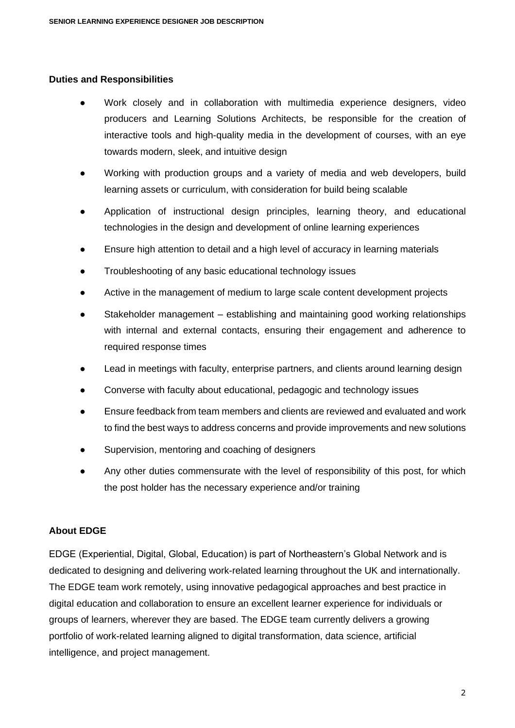#### **Duties and Responsibilities**

- Work closely and in collaboration with multimedia experience designers, video producers and Learning Solutions Architects, be responsible for the creation of interactive tools and high-quality media in the development of courses, with an eye towards modern, sleek, and intuitive design
- Working with production groups and a variety of media and web developers, build learning assets or curriculum, with consideration for build being scalable
- Application of instructional design principles, learning theory, and educational technologies in the design and development of online learning experiences
- Ensure high attention to detail and a high level of accuracy in learning materials
- Troubleshooting of any basic educational technology issues
- Active in the management of medium to large scale content development projects
- Stakeholder management establishing and maintaining good working relationships with internal and external contacts, ensuring their engagement and adherence to required response times
- Lead in meetings with faculty, enterprise partners, and clients around learning design
- Converse with faculty about educational, pedagogic and technology issues
- Ensure feedback from team members and clients are reviewed and evaluated and work to find the best ways to address concerns and provide improvements and new solutions
- Supervision, mentoring and coaching of designers
- Any other duties commensurate with the level of responsibility of this post, for which the post holder has the necessary experience and/or training

## **About EDGE**

EDGE (Experiential, Digital, Global, Education) is part of Northeastern's Global Network and is dedicated to designing and delivering work-related learning throughout the UK and internationally. The EDGE team work remotely, using innovative pedagogical approaches and best practice in digital education and collaboration to ensure an excellent learner experience for individuals or groups of learners, wherever they are based. The EDGE team currently delivers a growing portfolio of work-related learning aligned to digital transformation, data science, artificial intelligence, and project management.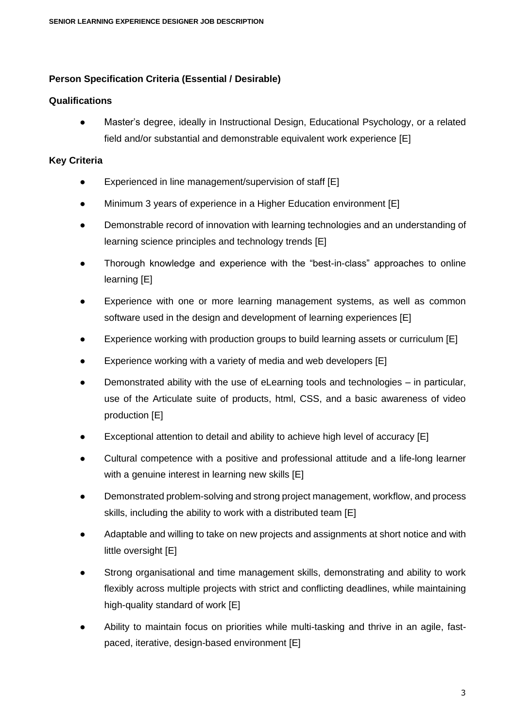## **Person Specification Criteria (Essential / Desirable)**

## **Qualifications**

● Master's degree, ideally in Instructional Design, Educational Psychology, or a related field and/or substantial and demonstrable equivalent work experience [E]

## **Key Criteria**

- Experienced in line management/supervision of staff [E]
- Minimum 3 years of experience in a Higher Education environment [E]
- Demonstrable record of innovation with learning technologies and an understanding of learning science principles and technology trends [E]
- Thorough knowledge and experience with the "best-in-class" approaches to online learning [E]
- Experience with one or more learning management systems, as well as common software used in the design and development of learning experiences [E]
- Experience working with production groups to build learning assets or curriculum  $[E]$
- Experience working with a variety of media and web developers  $[E]$
- Demonstrated ability with the use of eLearning tools and technologies in particular, use of the Articulate suite of products, html, CSS, and a basic awareness of video production [E]
- Exceptional attention to detail and ability to achieve high level of accuracy  $[E]$
- Cultural competence with a positive and professional attitude and a life-long learner with a genuine interest in learning new skills [E]
- Demonstrated problem-solving and strong project management, workflow, and process skills, including the ability to work with a distributed team [E]
- Adaptable and willing to take on new projects and assignments at short notice and with little oversight [E]
- Strong organisational and time management skills, demonstrating and ability to work flexibly across multiple projects with strict and conflicting deadlines, while maintaining high-quality standard of work [E]
- Ability to maintain focus on priorities while multi-tasking and thrive in an agile, fastpaced, iterative, design-based environment [E]